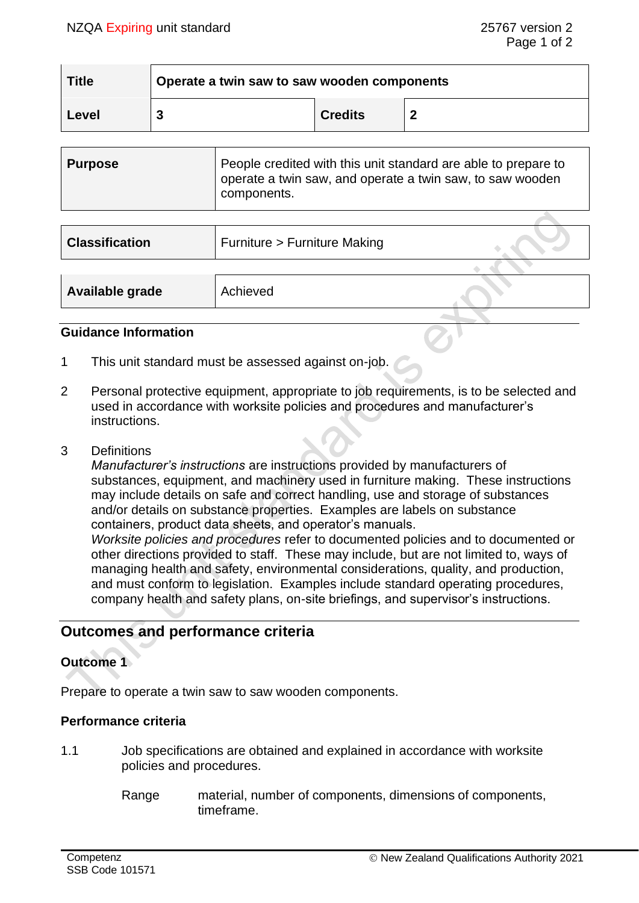| <b>Title</b> | Operate a twin saw to saw wooden components |                |  |
|--------------|---------------------------------------------|----------------|--|
| Level        |                                             | <b>Credits</b> |  |

| <b>Purpose</b> | People credited with this unit standard are able to prepare to<br>operate a twin saw, and operate a twin saw, to saw wooden |
|----------------|-----------------------------------------------------------------------------------------------------------------------------|
|                | components.                                                                                                                 |

| <b>Classification</b> | Furniture > Furniture Making |  |
|-----------------------|------------------------------|--|
|                       |                              |  |
| Available grade       | Achieved                     |  |

### **Guidance Information**

- 1 This unit standard must be assessed against on-job.
- 2 Personal protective equipment, appropriate to job requirements, is to be selected and used in accordance with worksite policies and procedures and manufacturer's instructions.
- 3 Definitions

*Manufacturer's instructions* are instructions provided by manufacturers of substances, equipment, and machinery used in furniture making. These instructions may include details on safe and correct handling, use and storage of substances and/or details on substance properties. Examples are labels on substance containers, product data sheets, and operator's manuals. *Worksite policies and procedures* refer to documented policies and to documented or other directions provided to staff. These may include, but are not limited to, ways of managing health and safety, environmental considerations, quality, and production, and must conform to legislation. Examples include standard operating procedures, company health and safety plans, on-site briefings, and supervisor's instructions.

# **Outcomes and performance criteria**

## **Outcome 1**

Prepare to operate a twin saw to saw wooden components.

## **Performance criteria**

- 1.1 Job specifications are obtained and explained in accordance with worksite policies and procedures.
	- Range material, number of components, dimensions of components, timeframe.